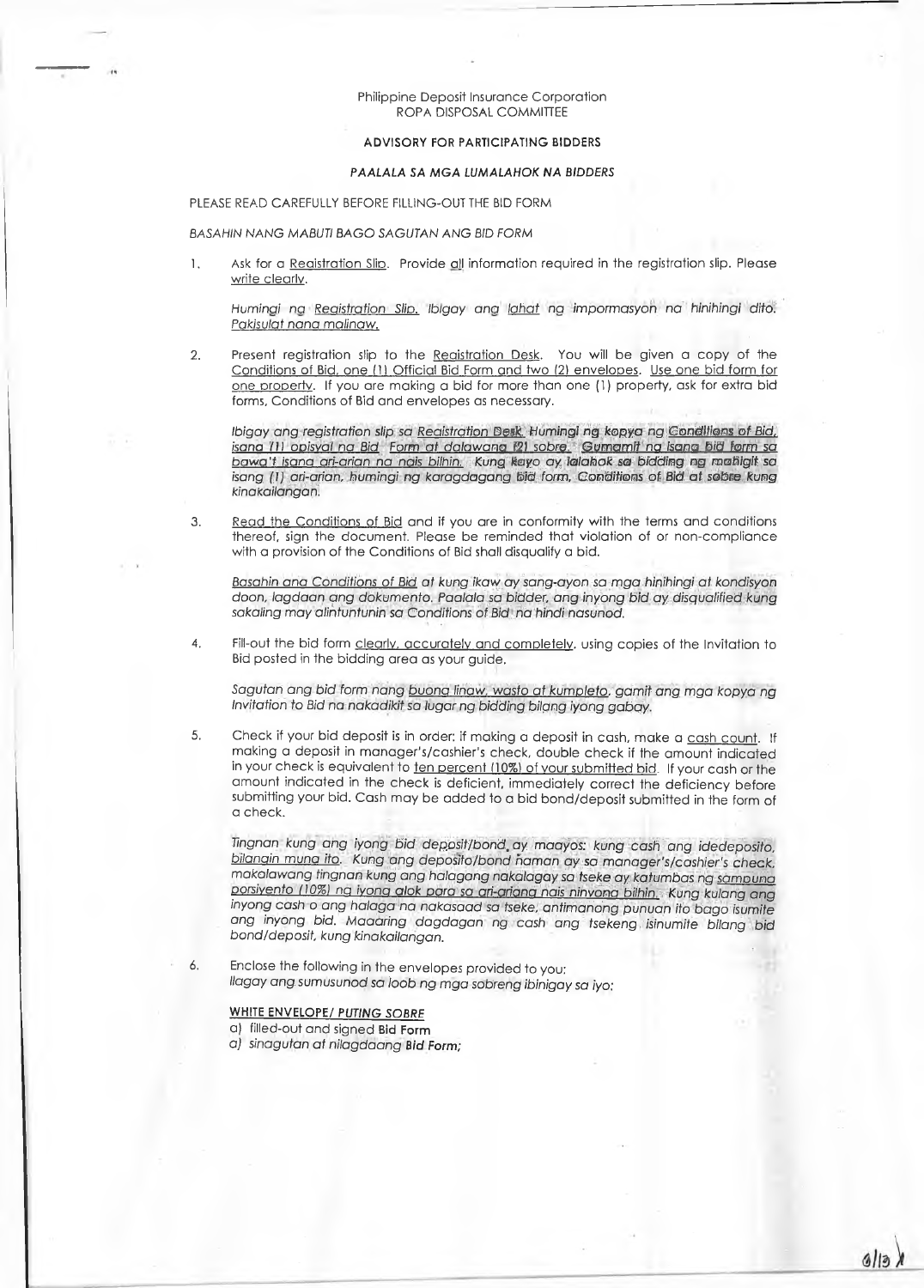### Philippine Deposit Insurance Corporation ROPA DISPOSAL COMMITTEE

## **ADVISORY FOR PARTICIPATING BIDDERS**

### *PAALALA SA MGA LUMALAHOK NA BIDDERS*

PLEASE READ CAREFULLY BEFORE FILLING-OUT THE BID FORM

#### *BASAHIN NANG MABUTI BAGO SAGUTAN ANG BID FORM*

1. Ask for a Registration Slip. Provide all information required in the registration slip. Please write clearly.

*Hum inaina Registration Slip, Ibigay ana lahat na impormasyon na hinihingi dito. Pakisulat rang malinaw.*

*2.* Present registration slip to the Registration Desk. You will be given a copy of the Conditions of Bid, one (1) Official Bid Form and two (2) envelopes. Use one bid form for one property. If you are making a bid for more than one (1) property, ask for extra bid forms, Conditions of Bid and envelopes as necessary.

*Ibigay ang registration slip sa Registration Desk. Humingi ng kopya ng Conditions of Bid, isana* **/1***I ooisval na Bid Form at dalawana 121 sob re. Gumamit na isana bid form sa bawa't isana ari-arian na nais bilhin. Kung kayo ay lalahok sa bidding ng mahigit sa isang (I) ari-arian, humingi ng karagdagang bid form, Conditions of Bid at sobre kung kinakailangan.*

3. Read the Conditions of Bid and if you are in conformity with the terms and conditions thereof, sign the document. Please be reminded that violation of or non-compliance with a provision of the Conditions of Bid shall disqualify a bid.

*Basahin ana Conditions of Bid at kung ikaw ay sang-ayon sa mga hinihingi at kondisyon doon, lagdaan ang dokumento. Paalala sa bidder, ang inyong bid ay disqualified kung sakaling may alihtuntunin sa Conditions of Bid na hindi nasunod.*

4. Fill-out the bid form clearly, accurately and completely, using copies of the Invitation to Bid posted in the bidding area as your guide.

*Sagutan ang bid form nang buona linaw, wasto at kumoleto. gamit ang mga kopya ng Invitation to Bid na nakadikit sa lugar ng bidding bilpng iyong gabqy.*

5. Check if your bid deposit is in order: if making a deposit in cash, make a cash count. If making a deposit in manager's/cashier's check, double check if the amount indicated in your check is equivalent to ten percent (10%) of your submitted bid. If your cash or the amount indicated in the check is deficient, immediately correct the deficiency before submitting your bid. Cash may be added to a bid bond/deposit submitted in the form of a check.

*Tingnan kung ang iyong bid deposit/bond.ay maayos: kung cash ang idedeposito, bilongin muna ito. Kung ang deposito/bond haman ay sa manager's/cashier's check, makalawang tingnan kung ang halagang nakalagaysa tseke ay katumbas ng samouna porsiyento (10%) ng iyong alok* pgra sa *ari-ariana nais ninvona bilhin. Kung kulang ang inyong cash o ang halaga na nakasaad sa tseke, antimanong punuan ito bago isumite ang inyong bid. Maaaring dagdagan ng cash ang tsekeng isinumite bilang bid bond/deposit, kung kinakailangan.*

*6.* Enclose the following in the envelopes provided to you: *llagay ang. sumusunod sa bob ng mga sobreng ibinigay sa iyo:*

# **WHITE ENVELOPE/** *PUTING SOBRE*

a) filled-out and signed **Bid Form**

aj *sinagutan at nilagdaang Bid Form;*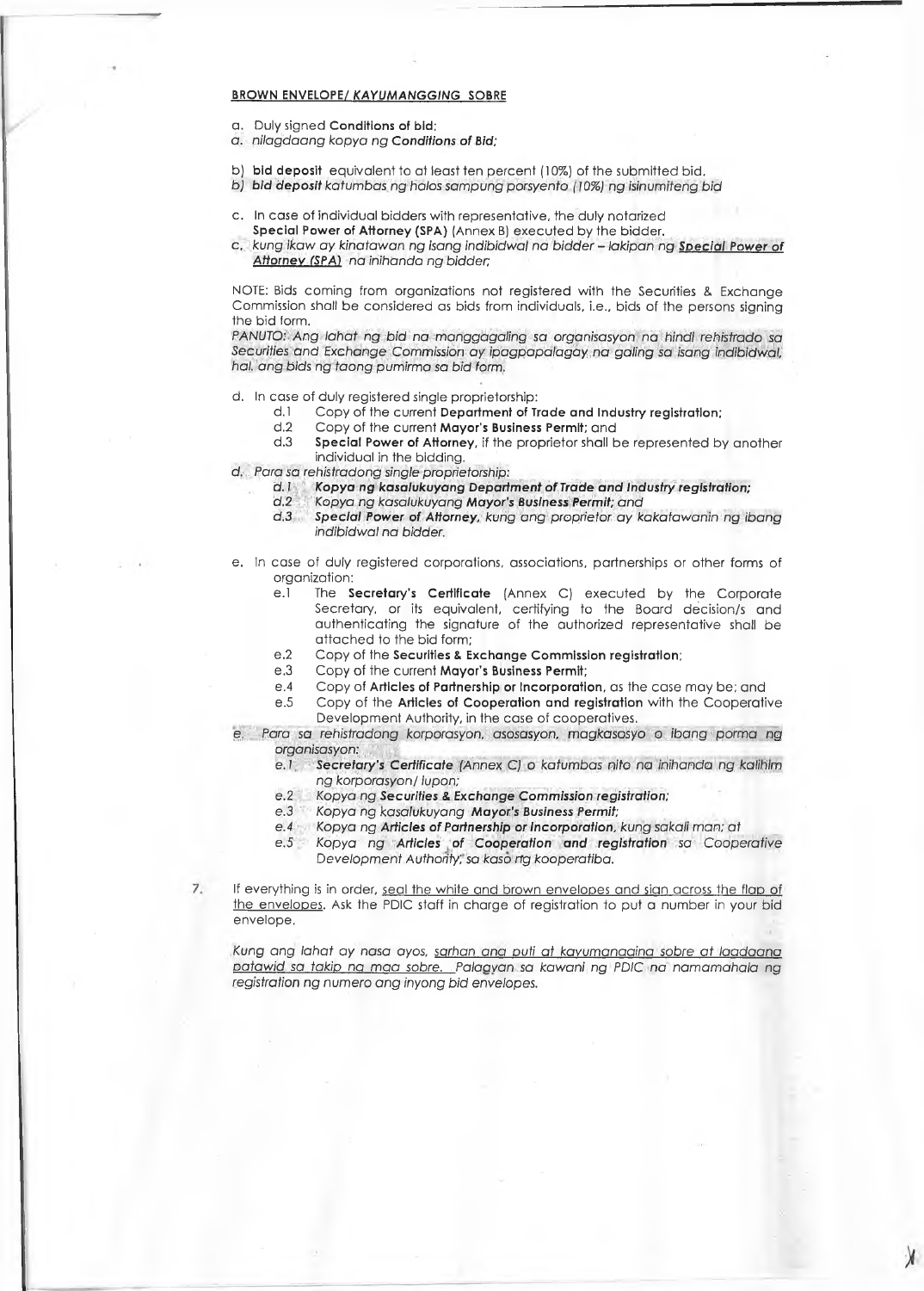# **BROWN ENVELOPE/** *KAYUMANGGING* **SOBRE**

- a. Duly signed **Conditions of bid;**
- *a. nilagdaang kopya ng Conditions of Bid;*
- b) **bid deposit** equivalent to at least ten percent (10%) of the submitted bid.
- *b*) *bid deposit katumbas ng halos sampung porsyento (10%) ng isinumiteng bid*
- c. In case of individual bidders with representative, the duly notarized **Special Power of Attorney (SPA)** (Annex B) executed by the bidder.
- c, *kung ikaw ay kinatawan ng isang indibidwal na bidder ~ lakipan ng Special Power of* **Attorney (SPA)** *na inihanda ng bidder;*

NOTE: Bids coming from organizations not registered with the Securities & Exchange Commission shall be considered as bids from individuals, i.e., bids of the persons signing the bid form.

*PANUTO: Ang lahat ng bid na manggagaling sa organisasyon na hindi rehistrado sa Securities and Exchange Commission ay ipagpapalagay na gating sa isang indibidwal, hal. ang bids ng taong pumirma sa bid form.*

- d. In case of duly registered single proprietorship:
	- d. 1 Copy of the current **Department of Trade and Industry registration:**
	- d.2 Copy of the current **Mayor's Business Permit;** and
		- Special Power of Attorney, if the proprietor shall be represented by another individual in the bidding.
- **d.** *Para sa rehistradong single proprietorship:*

 $\overline{7}$ 

- d. I *Kopya ng kasalukuyang Department of Trade and Industry registration;*
- *d.2 Kopya ng kasalukuyang Mayor's Business Permit; and*
- *d. 3 Special Power of Attorney, kung ang proprietor ay kakatawanin ng ibang indibidwal na bidder.*
- *e.* In case of duly registered corporations, associations, partnerships or other forms of organization:
	- e.1 The **Secretary's Certificate** (Annex C) executed by the Corporate Secretary, or its equivalent, certifying to the Board decision/s and authenticating the signature of the authorized representative shall be attached to the bid form;
	- e.2 Copy of the **Securities** *8.* **Exchange Commission registration;**
	- e.3 Copy of the current **Mayor's Business Permit;**
	- e.4 Copy of **Articles of Partnership or Incorporation,** as the case may be; and
	- e.5 Copy of the **Articles of Cooperation and registration** with the Cooperative Development Authority, in the case of cooperatives,
- e. *Para sa rehistradong korporasyon, asosasyon, magkasosyo o ibang porma ng organisasyon:*
	- e. 1 *Secretary's Certificate (Annex C) o katumbas nito na inihanda ng kalihim ng korporasyon/1upon;*
	- *e.2 Kopya ng Securities* & *Exchange Commission registration;*
	- *e.3 Kopya ng kasalukuyang Mayor's Business Permit;*
	- *e.4 Kopya ng Articles of Partnership or Incorporation, kung sakali man; at*
	- *e.5 Kopya ng Articles of Cooperation and registration sa Cooperative Development Authority; sa kaso ng kooperatiba.*

If everything is in order, seal the white and brown envelopes and sign across the flap of the envelopes. Ask the PDIC staff in charge of registration to put a number in your bid envelope.

*Kung ang lahat ay nasa ayos, sarhan ana auti at kavumanaaina sobre at laadaana* p*atawid sa taki*p na *maa sobre. Palaavan sa kawani ng PDIC na namamahala ng registration ng numero ang inyong bid envelopes.*